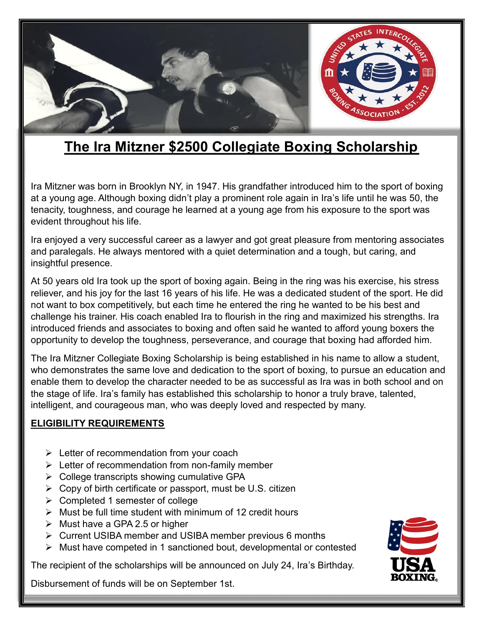

# **The Ira Mitzner \$2500 Collegiate Boxing Scholarship**

Ira Mitzner was born in Brooklyn NY, in 1947. His grandfather introduced him to the sport of boxing at a young age. Although boxing didn't play a prominent role again in Ira's life until he was 50, the tenacity, toughness, and courage he learned at a young age from his exposure to the sport was evident throughout his life.

Ira enjoyed a very successful career as a lawyer and got great pleasure from mentoring associates and paralegals. He always mentored with a quiet determination and a tough, but caring, and insightful presence.

At 50 years old Ira took up the sport of boxing again. Being in the ring was his exercise, his stress reliever, and his joy for the last 16 years of his life. He was a dedicated student of the sport. He did not want to box competitively, but each time he entered the ring he wanted to be his best and challenge his trainer. His coach enabled Ira to flourish in the ring and maximized his strengths. Ira introduced friends and associates to boxing and often said he wanted to afford young boxers the opportunity to develop the toughness, perseverance, and courage that boxing had afforded him.

The Ira Mitzner Collegiate Boxing Scholarship is being established in his name to allow a student, who demonstrates the same love and dedication to the sport of boxing, to pursue an education and enable them to develop the character needed to be as successful as Ira was in both school and on the stage of life. Ira's family has established this scholarship to honor a truly brave, talented, intelligent, and courageous man, who was deeply loved and respected by many.

#### **ELIGIBILITY REQUIREMENTS**

- $\triangleright$  Letter of recommendation from your coach
- $\triangleright$  Letter of recommendation from non-family member
- $\triangleright$  College transcripts showing cumulative GPA
- $\triangleright$  Copy of birth certificate or passport, must be U.S. citizen
- $\triangleright$  Completed 1 semester of college
- $\triangleright$  Must be full time student with minimum of 12 credit hours
- $\triangleright$  Must have a GPA 2.5 or higher
- Current USIBA member and USIBA member previous 6 months
- $\triangleright$  Must have competed in 1 sanctioned bout, developmental or contested

The recipient of the scholarships will be announced on July 24, Ira's Birthday.

Disbursement of funds will be on September 1st.

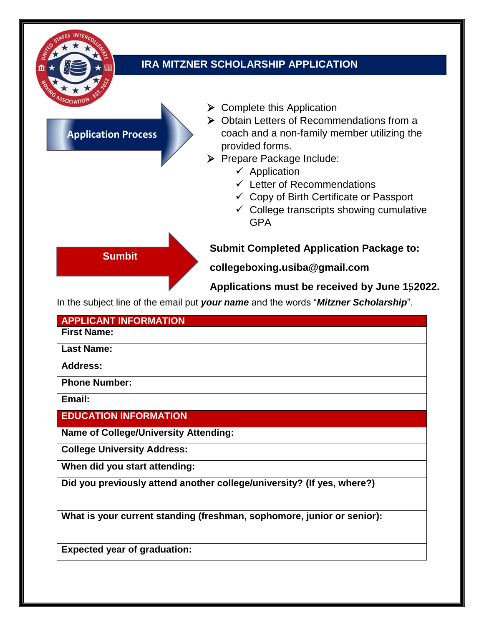

## **IRA MITZNER SCHOLARSHIP APPLICATION**

### **Application Process**

**Sumbit**

- $\triangleright$  Complete this Application
- ▶ Obtain Letters of Recommendations from a coach and a non-family member utilizing the provided forms.
- Prepare Package Include:
	- $\checkmark$  Application
	- $\checkmark$  Letter of Recommendations
	- $\checkmark$  Copy of Birth Certificate or Passport
	- $\checkmark$  College transcripts showing cumulative GPA

## **Submit Completed Application Package to:**

**collegeboxing.usiba@gmail.com** 

Applications must be received by June 152022.

In the subject line of the email put *your name* and the words "*Mitzner Scholarship*".

| <b>APPLICANT INFORMATION</b>                                           |
|------------------------------------------------------------------------|
| <b>First Name:</b>                                                     |
| <b>Last Name:</b>                                                      |
| <b>Address:</b>                                                        |
| <b>Phone Number:</b>                                                   |
| Email:                                                                 |
| <b>EDUCATION INFORMATION</b>                                           |
| <b>Name of College/University Attending:</b>                           |
| <b>College University Address:</b>                                     |
| When did you start attending:                                          |
| Did you previously attend another college/university? (If yes, where?) |
| What is your current standing (freshman, sophomore, junior or senior): |

**Expected year of graduation:**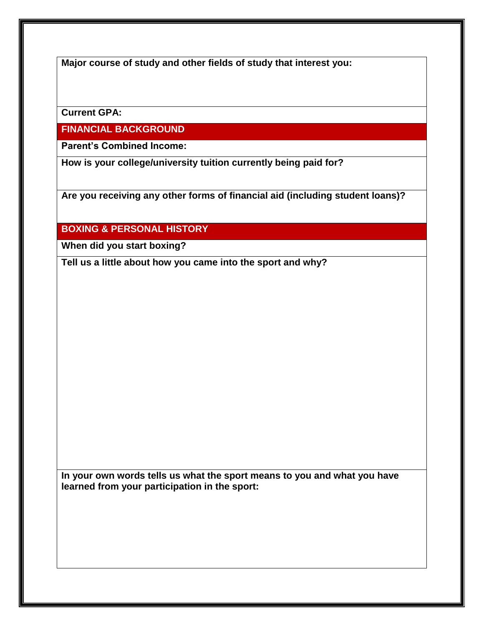**Major course of study and other fields of study that interest you:**

**Current GPA:**

**FINANCIAL BACKGROUND**

**Parent's Combined Income:**

**How is your college/university tuition currently being paid for?**

**Are you receiving any other forms of financial aid (including student loans)?**

**BOXING & PERSONAL HISTORY**

**When did you start boxing?**

**Tell us a little about how you came into the sport and why?**

**In your own words tells us what the sport means to you and what you have learned from your participation in the sport:**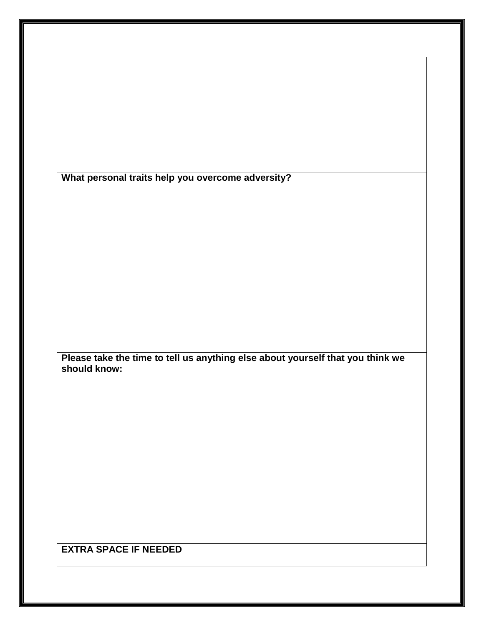|              | What personal traits help you overcome adversity?                              |  |  |  |
|--------------|--------------------------------------------------------------------------------|--|--|--|
|              |                                                                                |  |  |  |
|              |                                                                                |  |  |  |
|              |                                                                                |  |  |  |
|              |                                                                                |  |  |  |
|              |                                                                                |  |  |  |
|              |                                                                                |  |  |  |
|              |                                                                                |  |  |  |
|              |                                                                                |  |  |  |
|              |                                                                                |  |  |  |
|              |                                                                                |  |  |  |
|              |                                                                                |  |  |  |
|              | Please take the time to tell us anything else about yourself that you think we |  |  |  |
| should know: |                                                                                |  |  |  |
|              |                                                                                |  |  |  |
|              |                                                                                |  |  |  |
|              |                                                                                |  |  |  |
|              |                                                                                |  |  |  |
|              |                                                                                |  |  |  |
|              |                                                                                |  |  |  |
|              |                                                                                |  |  |  |
|              |                                                                                |  |  |  |
|              |                                                                                |  |  |  |
|              |                                                                                |  |  |  |